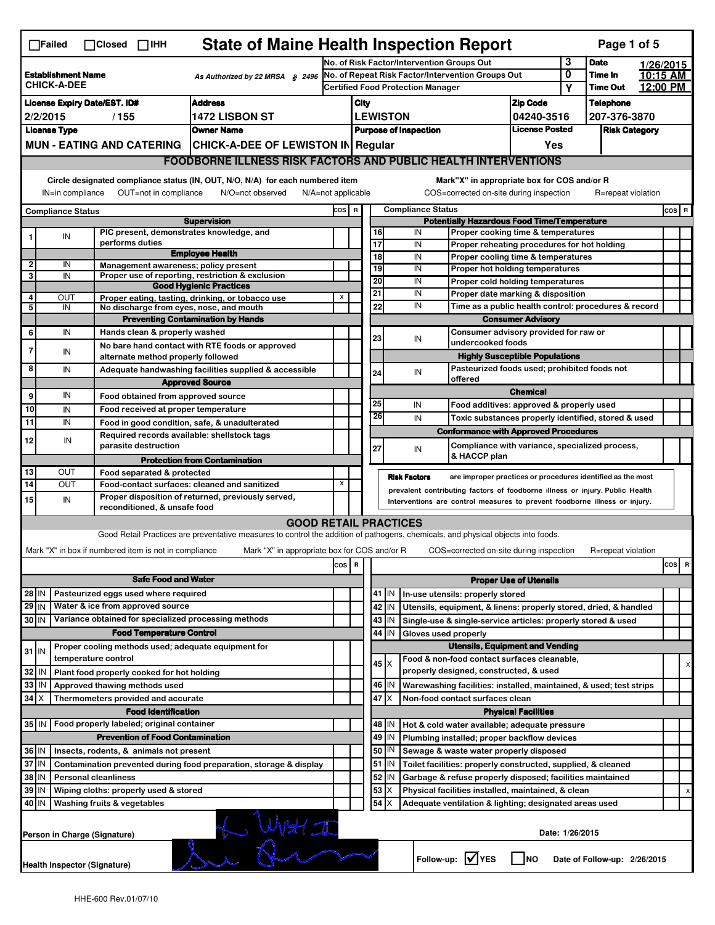| <b>State of Maine Health Inspection Report</b><br>Page 1 of 5<br>$\Box$ Failed<br>$\Box$ Closed $\Box$ IHH |                                                                                                                        |                             |                                                                                                 |                                                       |                                                                                                                                   |                         |                                          |                 |                            |                                                              |                                                                              |                                       |                  |                    |          |       |   |
|------------------------------------------------------------------------------------------------------------|------------------------------------------------------------------------------------------------------------------------|-----------------------------|-------------------------------------------------------------------------------------------------|-------------------------------------------------------|-----------------------------------------------------------------------------------------------------------------------------------|-------------------------|------------------------------------------|-----------------|----------------------------|--------------------------------------------------------------|------------------------------------------------------------------------------|---------------------------------------|------------------|--------------------|----------|-------|---|
| <b>Establishment Name</b><br>As Authorized by 22 MRSA § 2496                                               |                                                                                                                        |                             | No. of Risk Factor/Intervention Groups Out<br>No. of Repeat Risk Factor/Intervention Groups Out |                                                       |                                                                                                                                   |                         |                                          |                 | 3<br>0                     | <b>Date</b><br>Time In                                       | 1/26/2015<br>10:15 AM                                                        |                                       |                  |                    |          |       |   |
|                                                                                                            | <b>CHICK-A-DEE</b>                                                                                                     |                             |                                                                                                 |                                                       |                                                                                                                                   |                         | <b>Certified Food Protection Manager</b> |                 |                            |                                                              |                                                                              |                                       | Υ                | <b>Time Out</b>    | 12:00 PM |       |   |
|                                                                                                            | <b>Address</b><br><b>License Expiry Date/EST. ID#</b>                                                                  |                             |                                                                                                 |                                                       |                                                                                                                                   | <b>Zip Code</b><br>City |                                          |                 |                            |                                                              |                                                                              |                                       | <b>Telephone</b> |                    |          |       |   |
| <b>1472 LISBON ST</b><br>2/2/2015<br>/155                                                                  |                                                                                                                        |                             |                                                                                                 |                                                       | <b>LEWISTON</b>                                                                                                                   |                         |                                          | 04240-3516      |                            | 207-376-3870                                                 |                                                                              |                                       |                  |                    |          |       |   |
| <b>License Type</b><br><b>Owner Name</b>                                                                   |                                                                                                                        |                             |                                                                                                 |                                                       | <b>Purpose of Inspection</b>                                                                                                      |                         |                                          |                 | <b>License Posted</b>      |                                                              | <b>Risk Category</b>                                                         |                                       |                  |                    |          |       |   |
|                                                                                                            |                                                                                                                        |                             |                                                                                                 |                                                       | MUN - EATING AND CATERING   CHICK-A-DEE OF LEWISTON IN Regular                                                                    |                         |                                          |                 |                            |                                                              |                                                                              | Yes                                   |                  |                    |          |       |   |
|                                                                                                            |                                                                                                                        |                             |                                                                                                 |                                                       | <b>FOODBORNE ILLNESS RISK FACTORS AND PUBLIC HEALTH INTERVENTIONS</b>                                                             |                         |                                          |                 |                            |                                                              |                                                                              |                                       |                  |                    |          |       |   |
|                                                                                                            | Circle designated compliance status (IN, OUT, N/O, N/A) for each numbered item                                         |                             |                                                                                                 |                                                       |                                                                                                                                   |                         |                                          |                 |                            |                                                              | Mark"X" in appropriate box for COS and/or R                                  |                                       |                  |                    |          |       |   |
|                                                                                                            | IN=in compliance                                                                                                       |                             |                                                                                                 | OUT=not in compliance                                 | N/O=not observed                                                                                                                  | $N/A = not$ applicable  |                                          |                 |                            |                                                              | COS=corrected on-site during inspection                                      |                                       |                  | R=repeat violation |          |       |   |
|                                                                                                            | <b>Compliance Status</b>                                                                                               |                             |                                                                                                 |                                                       | <b>Supervision</b>                                                                                                                | COS R                   |                                          |                 |                            | <b>Compliance Status</b>                                     | <b>Potentially Hazardous Food Time/Temperature</b>                           |                                       |                  |                    |          | COS R |   |
|                                                                                                            |                                                                                                                        |                             |                                                                                                 |                                                       | PIC present, demonstrates knowledge, and                                                                                          |                         |                                          | 16              |                            | IN                                                           | Proper cooking time & temperatures                                           |                                       |                  |                    |          |       |   |
|                                                                                                            | IN                                                                                                                     |                             |                                                                                                 | performs duties                                       |                                                                                                                                   |                         |                                          | $\overline{17}$ |                            | IN                                                           | Proper reheating procedures for hot holding                                  |                                       |                  |                    |          |       |   |
|                                                                                                            |                                                                                                                        |                             |                                                                                                 |                                                       | <b>Employee Health</b>                                                                                                            |                         |                                          | 18              |                            | IN                                                           | Proper cooling time & temperatures                                           |                                       |                  |                    |          |       |   |
| $\mathbf{2}$<br>3                                                                                          | IN                                                                                                                     |                             |                                                                                                 |                                                       | Management awareness; policy present                                                                                              |                         |                                          | 19              |                            | IN                                                           | Proper hot holding temperatures                                              |                                       |                  |                    |          |       |   |
|                                                                                                            | IN                                                                                                                     |                             |                                                                                                 |                                                       | Proper use of reporting, restriction & exclusion<br><b>Good Hygienic Practices</b>                                                |                         |                                          | 20              |                            | IN                                                           | Proper cold holding temperatures                                             |                                       |                  |                    |          |       |   |
| $\overline{4}$                                                                                             | OUT                                                                                                                    |                             |                                                                                                 |                                                       | Proper eating, tasting, drinking, or tobacco use                                                                                  | х                       |                                          | 21              |                            | IN                                                           | Proper date marking & disposition                                            |                                       |                  |                    |          |       |   |
| 5                                                                                                          | IN                                                                                                                     |                             |                                                                                                 |                                                       | No discharge from eyes, nose, and mouth                                                                                           |                         |                                          | 22              |                            | IN                                                           | Time as a public health control: procedures & record                         |                                       |                  |                    |          |       |   |
|                                                                                                            |                                                                                                                        |                             |                                                                                                 |                                                       | <b>Preventing Contamination by Hands</b>                                                                                          |                         |                                          |                 |                            |                                                              |                                                                              | <b>Consumer Advisory</b>              |                  |                    |          |       |   |
| 6                                                                                                          | IN                                                                                                                     |                             |                                                                                                 | Hands clean & properly washed                         |                                                                                                                                   |                         |                                          | 23              |                            | IN                                                           | Consumer advisory provided for raw or                                        |                                       |                  |                    |          |       |   |
| 7                                                                                                          | IN                                                                                                                     |                             |                                                                                                 |                                                       | No bare hand contact with RTE foods or approved                                                                                   |                         |                                          |                 |                            |                                                              | undercooked foods                                                            |                                       |                  |                    |          |       |   |
|                                                                                                            |                                                                                                                        |                             |                                                                                                 | alternate method properly followed                    |                                                                                                                                   |                         |                                          |                 |                            |                                                              |                                                                              | <b>Highly Susceptible Populations</b> |                  |                    |          |       |   |
| 8                                                                                                          | IN                                                                                                                     |                             |                                                                                                 |                                                       | Adequate handwashing facilities supplied & accessible                                                                             |                         |                                          | 24              |                            | IN                                                           | Pasteurized foods used; prohibited foods not<br>offered                      |                                       |                  |                    |          |       |   |
|                                                                                                            |                                                                                                                        |                             |                                                                                                 |                                                       | <b>Approved Source</b>                                                                                                            |                         |                                          |                 |                            |                                                              |                                                                              | <b>Chemical</b>                       |                  |                    |          |       |   |
| 9                                                                                                          | IN                                                                                                                     |                             |                                                                                                 |                                                       | Food obtained from approved source                                                                                                |                         |                                          | 25              |                            | IN                                                           | Food additives: approved & properly used                                     |                                       |                  |                    |          |       |   |
| 10                                                                                                         | IN                                                                                                                     |                             |                                                                                                 |                                                       | Food received at proper temperature                                                                                               |                         |                                          | 26              |                            | IN                                                           | Toxic substances properly identified, stored & used                          |                                       |                  |                    |          |       |   |
| 11                                                                                                         | IN                                                                                                                     |                             |                                                                                                 |                                                       | Food in good condition, safe, & unadulterated                                                                                     |                         |                                          |                 |                            |                                                              | <b>Conformance with Approved Procedures</b>                                  |                                       |                  |                    |          |       |   |
| 12                                                                                                         | IN                                                                                                                     |                             |                                                                                                 |                                                       | Required records available: shellstock tags                                                                                       |                         |                                          |                 |                            |                                                              |                                                                              |                                       |                  |                    |          |       |   |
|                                                                                                            |                                                                                                                        |                             |                                                                                                 | parasite destruction                                  |                                                                                                                                   |                         |                                          | 27              |                            | IN                                                           | Compliance with variance, specialized process,<br>& HACCP plan               |                                       |                  |                    |          |       |   |
| 13                                                                                                         | OUT                                                                                                                    |                             |                                                                                                 |                                                       | <b>Protection from Contamination</b>                                                                                              |                         |                                          |                 |                            |                                                              |                                                                              |                                       |                  |                    |          |       |   |
| 14                                                                                                         | OUT                                                                                                                    |                             |                                                                                                 | Food separated & protected                            | Food-contact surfaces: cleaned and sanitized                                                                                      | x                       |                                          |                 |                            | <b>Risk Factors</b>                                          | are improper practices or procedures identified as the most                  |                                       |                  |                    |          |       |   |
| 15                                                                                                         |                                                                                                                        |                             |                                                                                                 |                                                       | Proper disposition of returned, previously served,                                                                                |                         |                                          |                 |                            |                                                              | prevalent contributing factors of foodborne illness or injury. Public Health |                                       |                  |                    |          |       |   |
|                                                                                                            | IN                                                                                                                     |                             |                                                                                                 | reconditioned, & unsafe food                          |                                                                                                                                   |                         |                                          |                 |                            |                                                              | Interventions are control measures to prevent foodborne illness or injury.   |                                       |                  |                    |          |       |   |
|                                                                                                            |                                                                                                                        |                             |                                                                                                 |                                                       | <b>GOOD RETAIL PRACTICES</b>                                                                                                      |                         |                                          |                 |                            |                                                              |                                                                              |                                       |                  |                    |          |       |   |
|                                                                                                            |                                                                                                                        |                             |                                                                                                 |                                                       | Good Retail Practices are preventative measures to control the addition of pathogens, chemicals, and physical objects into foods. |                         |                                          |                 |                            |                                                              |                                                                              |                                       |                  |                    |          |       |   |
|                                                                                                            |                                                                                                                        |                             |                                                                                                 | Mark "X" in box if numbered item is not in compliance | Mark "X" in appropriate box for COS and/or R                                                                                      |                         |                                          |                 |                            |                                                              | COS=corrected on-site during inspection                                      |                                       |                  | R=repeat violation |          |       |   |
|                                                                                                            |                                                                                                                        |                             |                                                                                                 |                                                       |                                                                                                                                   | cos                     | R                                        |                 |                            |                                                              |                                                                              |                                       |                  |                    |          | cos   | R |
|                                                                                                            |                                                                                                                        |                             |                                                                                                 | <b>Safe Food and Water</b>                            |                                                                                                                                   |                         |                                          |                 |                            |                                                              |                                                                              | <b>Proper Use of Utensils</b>         |                  |                    |          |       |   |
| 28 IN                                                                                                      |                                                                                                                        |                             |                                                                                                 | Pasteurized eggs used where required                  |                                                                                                                                   |                         |                                          |                 | 41   IN                    |                                                              | In-use utensils: properly stored                                             |                                       |                  |                    |          |       |   |
| $29$ IN                                                                                                    |                                                                                                                        |                             |                                                                                                 | Water & ice from approved source                      |                                                                                                                                   |                         |                                          |                 | 42 IN                      |                                                              | Utensils, equipment, & linens: properly stored, dried, & handled             |                                       |                  |                    |          |       |   |
| 30 IN                                                                                                      |                                                                                                                        |                             |                                                                                                 |                                                       | Variance obtained for specialized processing methods                                                                              |                         |                                          |                 | 43 IN                      |                                                              | Single-use & single-service articles: properly stored & used                 |                                       |                  |                    |          |       |   |
|                                                                                                            |                                                                                                                        |                             |                                                                                                 | <b>Food Temperature Control</b>                       |                                                                                                                                   |                         |                                          | 44              | IN                         | Gloves used properly                                         |                                                                              |                                       |                  |                    |          |       |   |
|                                                                                                            |                                                                                                                        |                             |                                                                                                 |                                                       | Proper cooling methods used; adequate equipment for                                                                               |                         |                                          |                 |                            |                                                              | <b>Utensils, Equipment and Vending</b>                                       |                                       |                  |                    |          |       |   |
| $31$ IN                                                                                                    |                                                                                                                        | temperature control         |                                                                                                 |                                                       |                                                                                                                                   |                         |                                          |                 |                            |                                                              | Food & non-food contact surfaces cleanable,                                  |                                       |                  |                    |          |       |   |
| 32                                                                                                         | ۱N                                                                                                                     |                             |                                                                                                 | Plant food properly cooked for hot holding            |                                                                                                                                   |                         |                                          |                 | $45 \times$                |                                                              | properly designed, constructed, & used                                       |                                       |                  |                    |          |       | х |
| 33                                                                                                         | IN                                                                                                                     |                             |                                                                                                 | Approved thawing methods used                         |                                                                                                                                   |                         |                                          |                 | 46   IN                    |                                                              | Warewashing facilities: installed, maintained, & used; test strips           |                                       |                  |                    |          |       |   |
| $34$ $\times$                                                                                              |                                                                                                                        |                             |                                                                                                 | Thermometers provided and accurate                    |                                                                                                                                   |                         |                                          | 47              | $\times$                   |                                                              | Non-food contact surfaces clean                                              |                                       |                  |                    |          |       |   |
|                                                                                                            |                                                                                                                        |                             |                                                                                                 | <b>Food Identification</b>                            |                                                                                                                                   |                         |                                          |                 | <b>Physical Facilities</b> |                                                              |                                                                              |                                       |                  |                    |          |       |   |
| 35 IN                                                                                                      |                                                                                                                        |                             |                                                                                                 | Food properly labeled; original container             |                                                                                                                                   |                         |                                          |                 | 48   IN                    |                                                              | Hot & cold water available; adequate pressure                                |                                       |                  |                    |          |       |   |
|                                                                                                            |                                                                                                                        |                             |                                                                                                 | <b>Prevention of Food Contamination</b>               |                                                                                                                                   |                         |                                          | 49              | IN                         |                                                              | Plumbing installed; proper backflow devices                                  |                                       |                  |                    |          |       |   |
| 36 IN                                                                                                      |                                                                                                                        |                             |                                                                                                 |                                                       |                                                                                                                                   |                         |                                          | 50              | IN                         |                                                              | Sewage & waste water properly disposed                                       |                                       |                  |                    |          |       |   |
|                                                                                                            | Insects, rodents, & animals not present<br>37 IN<br>Contamination prevented during food preparation, storage & display |                             |                                                                                                 |                                                       |                                                                                                                                   |                         |                                          | 51 IN           |                            | Toilet facilities: properly constructed, supplied, & cleaned |                                                                              |                                       |                  |                    |          |       |   |
| 38 IN                                                                                                      |                                                                                                                        | <b>Personal cleanliness</b> |                                                                                                 |                                                       |                                                                                                                                   |                         |                                          | 52              | ΙN                         |                                                              | Garbage & refuse properly disposed; facilities maintained                    |                                       |                  |                    |          |       |   |
| 39                                                                                                         | IN                                                                                                                     |                             |                                                                                                 |                                                       |                                                                                                                                   |                         |                                          | 53              | X                          |                                                              | Physical facilities installed, maintained, & clean                           |                                       |                  |                    |          |       |   |
|                                                                                                            | Wiping cloths: properly used & stored<br>40 IN<br>Washing fruits & vegetables                                          |                             |                                                                                                 |                                                       |                                                                                                                                   |                         |                                          | 54              | X                          |                                                              | Adequate ventilation & lighting; designated areas used                       |                                       |                  |                    |          |       |   |
|                                                                                                            |                                                                                                                        |                             |                                                                                                 |                                                       |                                                                                                                                   |                         |                                          |                 |                            |                                                              |                                                                              |                                       |                  |                    |          |       |   |
|                                                                                                            | Date: 1/26/2015                                                                                                        |                             |                                                                                                 |                                                       |                                                                                                                                   |                         |                                          |                 |                            |                                                              |                                                                              |                                       |                  |                    |          |       |   |
|                                                                                                            | Person in Charge (Signature)                                                                                           |                             |                                                                                                 |                                                       |                                                                                                                                   |                         |                                          |                 |                            |                                                              |                                                                              |                                       |                  |                    |          |       |   |
|                                                                                                            | L Woth I<br>Follow-up: V YES<br>  Ino<br>Date of Follow-up: 2/26/2015                                                  |                             |                                                                                                 |                                                       |                                                                                                                                   |                         |                                          |                 |                            |                                                              |                                                                              |                                       |                  |                    |          |       |   |
|                                                                                                            | Health Inspector (Signature)                                                                                           |                             |                                                                                                 |                                                       |                                                                                                                                   |                         |                                          |                 |                            |                                                              |                                                                              |                                       |                  |                    |          |       |   |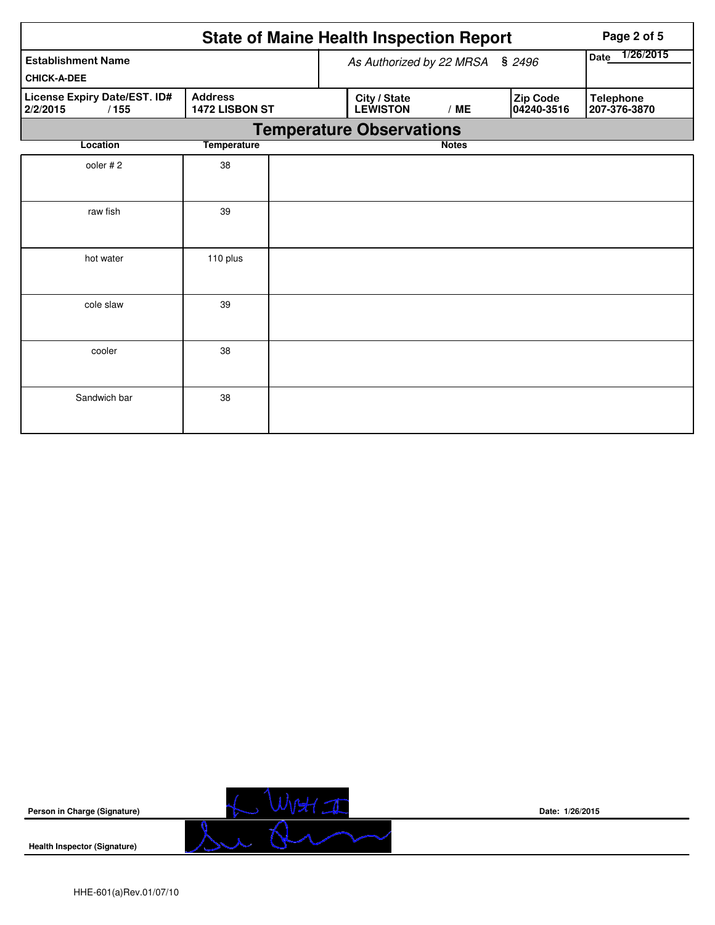|                                                  | Page 2 of 5                      |                                 |              |                        |                                  |
|--------------------------------------------------|----------------------------------|---------------------------------|--------------|------------------------|----------------------------------|
| <b>Establishment Name</b>                        | As Authorized by 22 MRSA         | 1/26/2015<br><b>Date</b>        |              |                        |                                  |
| <b>CHICK-A-DEE</b>                               |                                  |                                 |              |                        |                                  |
| License Expiry Date/EST. ID#<br>2/2/2015<br>/155 | <b>Address</b><br>1472 LISBON ST | City / State<br><b>LEWISTON</b> | /ME          | Zip Code<br>04240-3516 | <b>Telephone</b><br>207-376-3870 |
|                                                  |                                  | <b>Temperature Observations</b> |              |                        |                                  |
| Location                                         | <b>Temperature</b>               |                                 | <b>Notes</b> |                        |                                  |
| ooler #2                                         | 38                               |                                 |              |                        |                                  |
| raw fish                                         | 39                               |                                 |              |                        |                                  |
| hot water                                        | 110 plus                         |                                 |              |                        |                                  |
| cole slaw                                        | 39                               |                                 |              |                        |                                  |
| cooler                                           | 38                               |                                 |              |                        |                                  |
| Sandwich bar                                     | 38                               |                                 |              |                        |                                  |



**Date: 1/26/2015**

**Health Inspector (Signature)**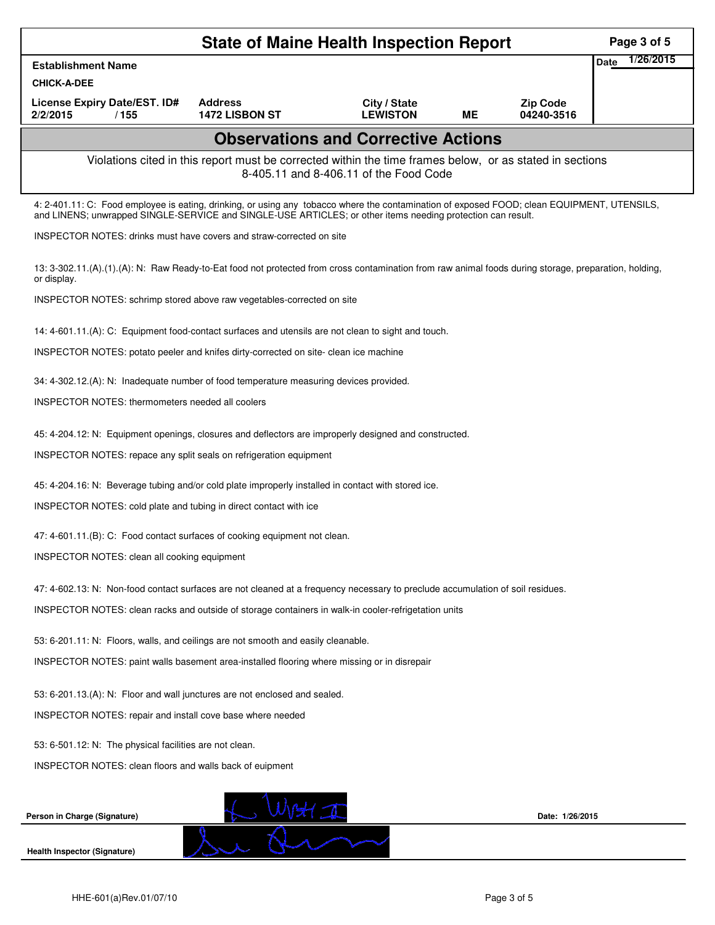|                                                                                                                                                                                                                                                            |                                                                                                          | <b>State of Maine Health Inspection Report</b> |    |                               | Page 3 of 5              |
|------------------------------------------------------------------------------------------------------------------------------------------------------------------------------------------------------------------------------------------------------------|----------------------------------------------------------------------------------------------------------|------------------------------------------------|----|-------------------------------|--------------------------|
| <b>Establishment Name</b>                                                                                                                                                                                                                                  |                                                                                                          |                                                |    |                               | 1/26/2015<br><b>Date</b> |
| <b>CHICK-A-DEE</b>                                                                                                                                                                                                                                         |                                                                                                          |                                                |    |                               |                          |
| License Expiry Date/EST. ID#<br>2/2/2015<br>/155                                                                                                                                                                                                           | <b>Address</b><br><b>1472 LISBON ST</b>                                                                  | City / State<br><b>LEWISTON</b>                | ME | <b>Zip Code</b><br>04240-3516 |                          |
|                                                                                                                                                                                                                                                            |                                                                                                          | <b>Observations and Corrective Actions</b>     |    |                               |                          |
|                                                                                                                                                                                                                                                            | Violations cited in this report must be corrected within the time frames below, or as stated in sections | 8-405.11 and 8-406.11 of the Food Code         |    |                               |                          |
| 4: 2-401.11: C: Food employee is eating, drinking, or using any tobacco where the contamination of exposed FOOD; clean EQUIPMENT, UTENSILS,<br>and LINENS; unwrapped SINGLE-SERVICE and SINGLE-USE ARTICLES; or other items needing protection can result. |                                                                                                          |                                                |    |                               |                          |
| <b>INSPECTOR NOTES:</b> drinks must have covers and straw-corrected on site                                                                                                                                                                                |                                                                                                          |                                                |    |                               |                          |
| 13: 3-302.11.(A).(1).(A): N: Raw Ready-to-Eat food not protected from cross contamination from raw animal foods during storage, preparation, holding,<br>or display.                                                                                       |                                                                                                          |                                                |    |                               |                          |
| INSPECTOR NOTES: schrimp stored above raw vegetables-corrected on site                                                                                                                                                                                     |                                                                                                          |                                                |    |                               |                          |
| 14: 4-601.11.(A): C: Equipment food-contact surfaces and utensils are not clean to sight and touch.                                                                                                                                                        |                                                                                                          |                                                |    |                               |                          |
| INSPECTOR NOTES: potato peeler and knifes dirty-corrected on site- clean ice machine                                                                                                                                                                       |                                                                                                          |                                                |    |                               |                          |
| 34: 4-302.12.(A): N: Inadequate number of food temperature measuring devices provided.                                                                                                                                                                     |                                                                                                          |                                                |    |                               |                          |
| <b>INSPECTOR NOTES: thermometers needed all coolers</b>                                                                                                                                                                                                    |                                                                                                          |                                                |    |                               |                          |
| 45: 4-204.12: N: Equipment openings, closures and deflectors are improperly designed and constructed.                                                                                                                                                      |                                                                                                          |                                                |    |                               |                          |
| INSPECTOR NOTES: repace any split seals on refrigeration equipment                                                                                                                                                                                         |                                                                                                          |                                                |    |                               |                          |
| 45: 4-204.16: N: Beverage tubing and/or cold plate improperly installed in contact with stored ice.                                                                                                                                                        |                                                                                                          |                                                |    |                               |                          |
| INSPECTOR NOTES: cold plate and tubing in direct contact with ice                                                                                                                                                                                          |                                                                                                          |                                                |    |                               |                          |
| 47: 4-601.11.(B): C: Food contact surfaces of cooking equipment not clean.                                                                                                                                                                                 |                                                                                                          |                                                |    |                               |                          |
| INSPECTOR NOTES: clean all cooking equipment                                                                                                                                                                                                               |                                                                                                          |                                                |    |                               |                          |
| 47: 4-602.13: N: Non-food contact surfaces are not cleaned at a frequency necessary to preclude accumulation of soil residues.                                                                                                                             |                                                                                                          |                                                |    |                               |                          |
| INSPECTOR NOTES: clean racks and outside of storage containers in walk-in cooler-refrigetation units                                                                                                                                                       |                                                                                                          |                                                |    |                               |                          |
| 53: 6-201.11: N: Floors, walls, and ceilings are not smooth and easily cleanable.                                                                                                                                                                          |                                                                                                          |                                                |    |                               |                          |
| INSPECTOR NOTES: paint walls basement area-installed flooring where missing or in disrepair                                                                                                                                                                |                                                                                                          |                                                |    |                               |                          |
| 53: 6-201.13.(A): N: Floor and wall junctures are not enclosed and sealed.                                                                                                                                                                                 |                                                                                                          |                                                |    |                               |                          |
| INSPECTOR NOTES: repair and install cove base where needed                                                                                                                                                                                                 |                                                                                                          |                                                |    |                               |                          |
| 53: 6-501.12: N: The physical facilities are not clean.                                                                                                                                                                                                    |                                                                                                          |                                                |    |                               |                          |
| INSPECTOR NOTES: clean floors and walls back of euipment                                                                                                                                                                                                   |                                                                                                          |                                                |    |                               |                          |
| Person in Charge (Signature)                                                                                                                                                                                                                               |                                                                                                          |                                                |    | Date: 1/26/2015               |                          |
| <b>Health Inspector (Signature)</b>                                                                                                                                                                                                                        |                                                                                                          |                                                |    |                               |                          |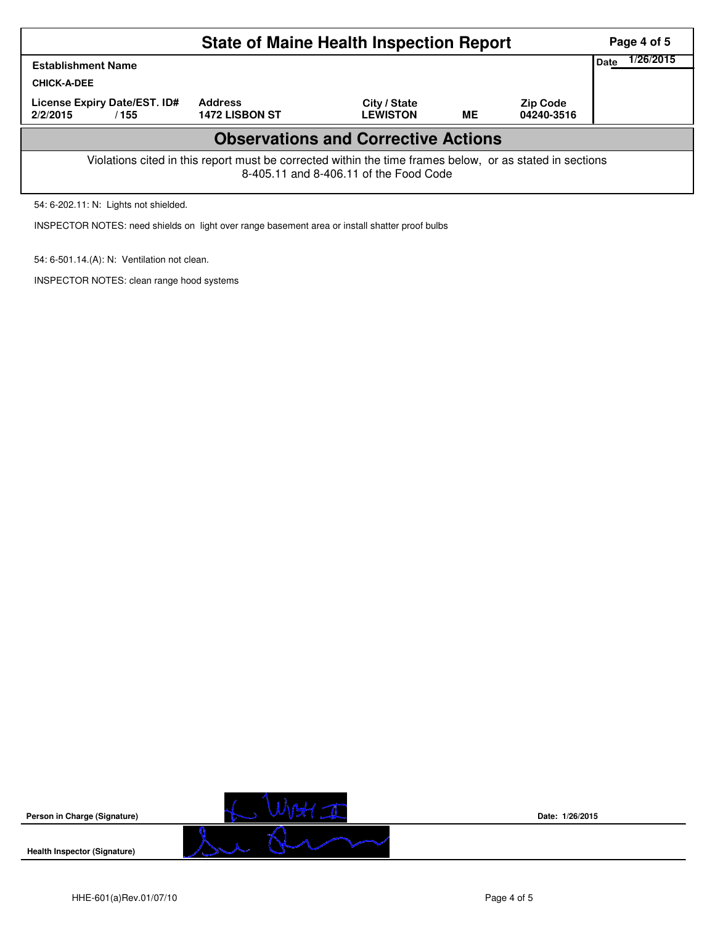|                                                                                                                                                    | Page 4 of 5                             |                                 |    |                               |  |  |  |  |  |
|----------------------------------------------------------------------------------------------------------------------------------------------------|-----------------------------------------|---------------------------------|----|-------------------------------|--|--|--|--|--|
| <b>Establishment Name</b>                                                                                                                          | 1/26/2015<br>Date                       |                                 |    |                               |  |  |  |  |  |
| <b>CHICK-A-DEE</b>                                                                                                                                 |                                         |                                 |    |                               |  |  |  |  |  |
| License Expiry Date/EST. ID#<br>2/2/2015<br>/ 155                                                                                                  | <b>Address</b><br><b>1472 LISBON ST</b> | City / State<br><b>LEWISTON</b> | ME | <b>Zip Code</b><br>04240-3516 |  |  |  |  |  |
| <b>Observations and Corrective Actions</b>                                                                                                         |                                         |                                 |    |                               |  |  |  |  |  |
| Violations cited in this report must be corrected within the time frames below, or as stated in sections<br>8-405.11 and 8-406.11 of the Food Code |                                         |                                 |    |                               |  |  |  |  |  |

54: 6-202.11: N: Lights not shielded.

INSPECTOR NOTES: need shields on light over range basement area or install shatter proof bulbs

54: 6-501.14.(A): N: Ventilation not clean.

INSPECTOR NOTES: clean range hood systems



**Date: 1/26/2015**